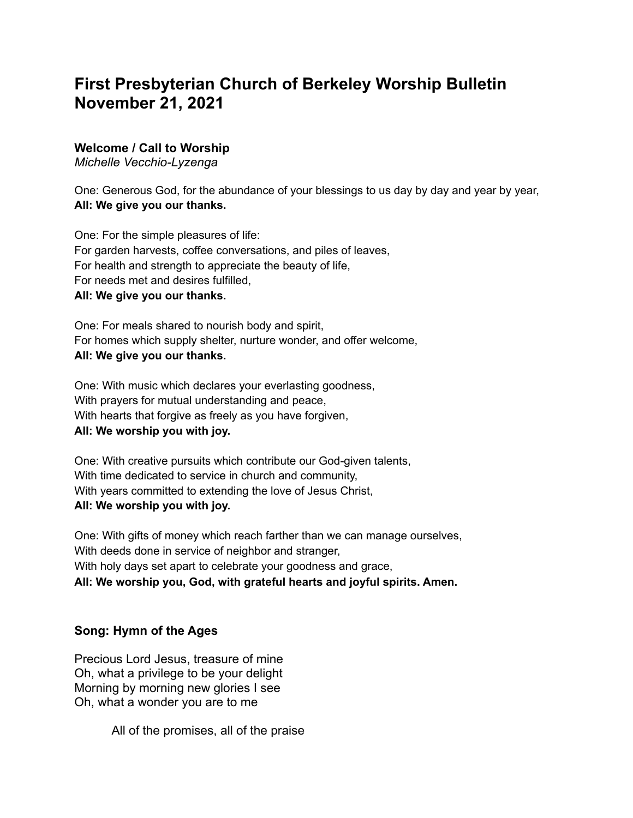# **First Presbyterian Church of Berkeley Worship Bulletin November 21, 2021**

## **Welcome / Call to Worship**

*Michelle Vecchio-Lyzenga*

One: Generous God, for the abundance of your blessings to us day by day and year by year, **All: We give you our thanks.**

One: For the simple pleasures of life: For garden harvests, coffee conversations, and piles of leaves, For health and strength to appreciate the beauty of life, For needs met and desires fulfilled, **All: We give you our thanks.**

One: For meals shared to nourish body and spirit, For homes which supply shelter, nurture wonder, and offer welcome, **All: We give you our thanks.**

One: With music which declares your everlasting goodness, With prayers for mutual understanding and peace, With hearts that forgive as freely as you have forgiven, **All: We worship you with joy.**

One: With creative pursuits which contribute our God-given talents, With time dedicated to service in church and community, With years committed to extending the love of Jesus Christ, **All: We worship you with joy.**

One: With gifts of money which reach farther than we can manage ourselves, With deeds done in service of neighbor and stranger, With holy days set apart to celebrate your goodness and grace, **All: We worship you, God, with grateful hearts and joyful spirits. Amen.**

## **Song: Hymn of the Ages**

Precious Lord Jesus, treasure of mine Oh, what a privilege to be your delight Morning by morning new glories I see Oh, what a wonder you are to me

All of the promises, all of the praise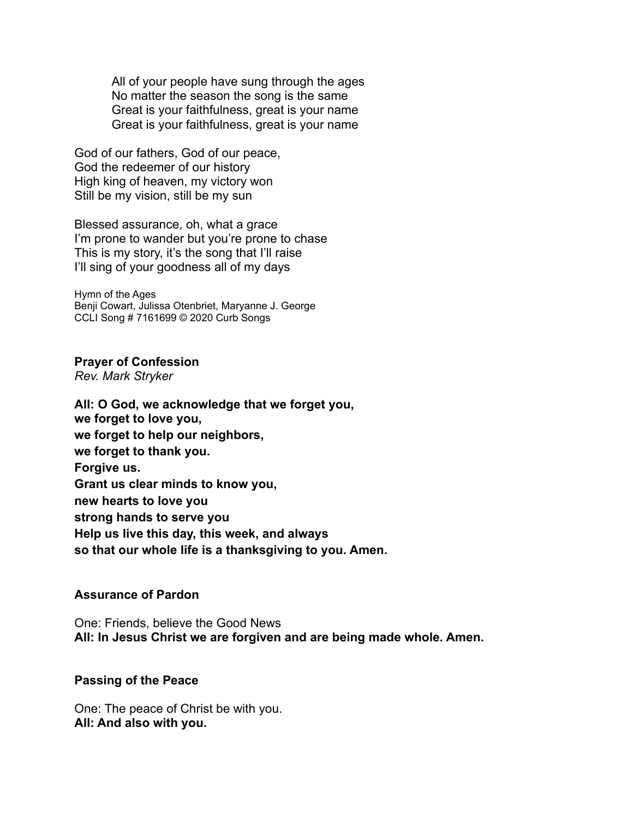All of your people have sung through the ages No matter the season the song is the same Great is your faithfulness, great is your name Great is your faithfulness, great is your name

God of our fathers, God of our peace, God thе redeemer of our history High king of heavеn, my victory won Still be my vision, still be my sun

Blessed assurance, oh, what a grace I'm prone to wander but you're prone to chase This is my story, it's the song that I'll raise I'll sing of your goodness all of my days

Hymn of the Ages Benji Cowart, Julissa Otenbriet, Maryanne J. George CCLI Song # 7161699 © 2020 Curb Songs

**Prayer of Confession**

*Rev. Mark Stryker*

**All: O God, we acknowledge that we forget you, we forget to love you, we forget to help our neighbors, we forget to thank you. Forgive us. Grant us clear minds to know you, new hearts to love you strong hands to serve you Help us live this day, this week, and always so that our whole life is a thanksgiving to you. Amen.**

### **Assurance of Pardon**

One: Friends, believe the Good News **All: In Jesus Christ we are forgiven and are being made whole. Amen.**

#### **Passing of the Peace**

One: The peace of Christ be with you. **All: And also with you.**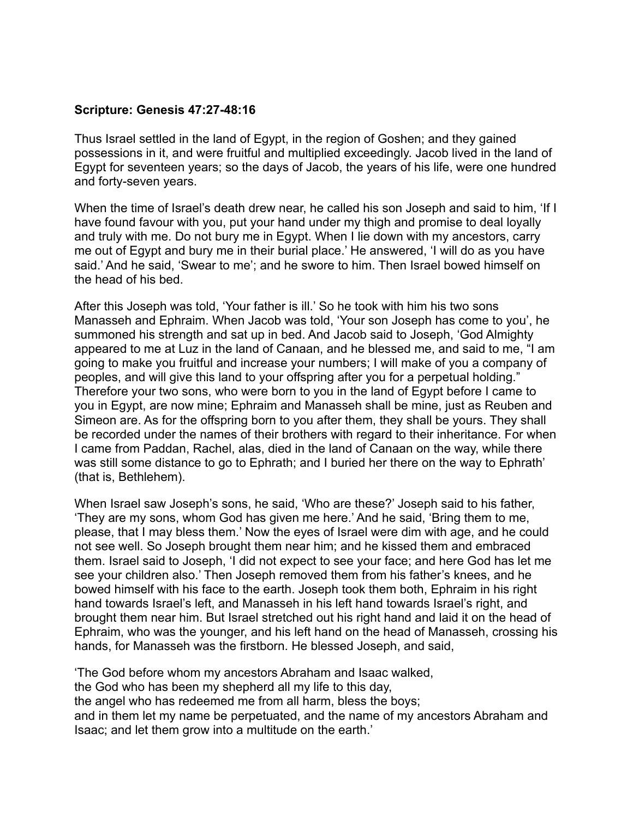### **Scripture: Genesis 47:27-48:16**

Thus Israel settled in the land of Egypt, in the region of Goshen; and they gained possessions in it, and were fruitful and multiplied exceedingly. Jacob lived in the land of Egypt for seventeen years; so the days of Jacob, the years of his life, were one hundred and forty-seven years.

When the time of Israel's death drew near, he called his son Joseph and said to him, 'If I have found favour with you, put your hand under my thigh and promise to deal loyally and truly with me. Do not bury me in Egypt. When I lie down with my ancestors, carry me out of Egypt and bury me in their burial place.' He answered, 'I will do as you have said.' And he said, 'Swear to me'; and he swore to him. Then Israel bowed himself on the head of his bed.

After this Joseph was told, 'Your father is ill.' So he took with him his two sons Manasseh and Ephraim. When Jacob was told, 'Your son Joseph has come to you', he summoned his strength and sat up in bed. And Jacob said to Joseph, 'God Almighty appeared to me at Luz in the land of Canaan, and he blessed me, and said to me, "I am going to make you fruitful and increase your numbers; I will make of you a company of peoples, and will give this land to your offspring after you for a perpetual holding." Therefore your two sons, who were born to you in the land of Egypt before I came to you in Egypt, are now mine; Ephraim and Manasseh shall be mine, just as Reuben and Simeon are. As for the offspring born to you after them, they shall be yours. They shall be recorded under the names of their brothers with regard to their inheritance. For when I came from Paddan, Rachel, alas, died in the land of Canaan on the way, while there was still some distance to go to Ephrath; and I buried her there on the way to Ephrath' (that is, Bethlehem).

When Israel saw Joseph's sons, he said, 'Who are these?' Joseph said to his father, 'They are my sons, whom God has given me here.' And he said, 'Bring them to me, please, that I may bless them.' Now the eyes of Israel were dim with age, and he could not see well. So Joseph brought them near him; and he kissed them and embraced them. Israel said to Joseph, 'I did not expect to see your face; and here God has let me see your children also.' Then Joseph removed them from his father's knees, and he bowed himself with his face to the earth. Joseph took them both, Ephraim in his right hand towards Israel's left, and Manasseh in his left hand towards Israel's right, and brought them near him. But Israel stretched out his right hand and laid it on the head of Ephraim, who was the younger, and his left hand on the head of Manasseh, crossing his hands, for Manasseh was the firstborn. He blessed Joseph, and said,

'The God before whom my ancestors Abraham and Isaac walked, the God who has been my shepherd all my life to this day, the angel who has redeemed me from all harm, bless the boys; and in them let my name be perpetuated, and the name of my ancestors Abraham and Isaac; and let them grow into a multitude on the earth.'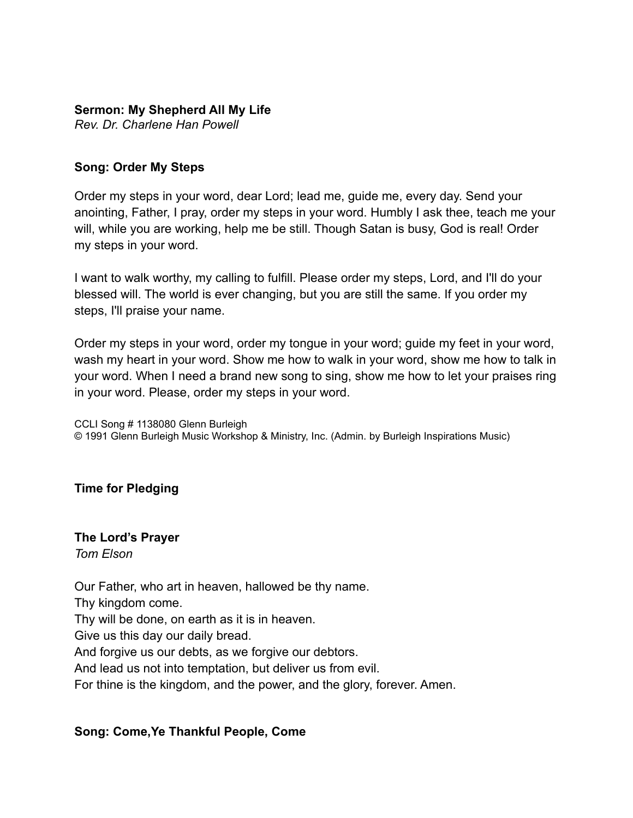### **Sermon: My Shepherd All My Life**

*Rev. Dr. Charlene Han Powell*

## **Song: Order My Steps**

Order my steps in your word, dear Lord; lead me, guide me, every day. Send your anointing, Father, I pray, order my steps in your word. Humbly I ask thee, teach me your will, while you are working, help me be still. Though Satan is busy, God is real! Order my steps in your word.

I want to walk worthy, my calling to fulfill. Please order my steps, Lord, and I'll do your blessed will. The world is ever changing, but you are still the same. If you order my steps, I'll praise your name.

Order my steps in your word, order my tongue in your word; guide my feet in your word, wash my heart in your word. Show me how to walk in your word, show me how to talk in your word. When I need a brand new song to sing, show me how to let your praises ring in your word. Please, order my steps in your word.

CCLI Song # 1138080 Glenn Burleigh © 1991 Glenn Burleigh Music Workshop & Ministry, Inc. (Admin. by Burleigh Inspirations Music)

## **Time for Pledging**

**The Lord's Prayer** *Tom Elson*

Our Father, who art in heaven, hallowed be thy name. Thy kingdom come. Thy will be done, on earth as it is in heaven. Give us this day our daily bread. And forgive us our debts, as we forgive our debtors. And lead us not into temptation, but deliver us from evil. For thine is the kingdom, and the power, and the glory, forever. Amen.

## **Song: Come,Ye Thankful People, Come**